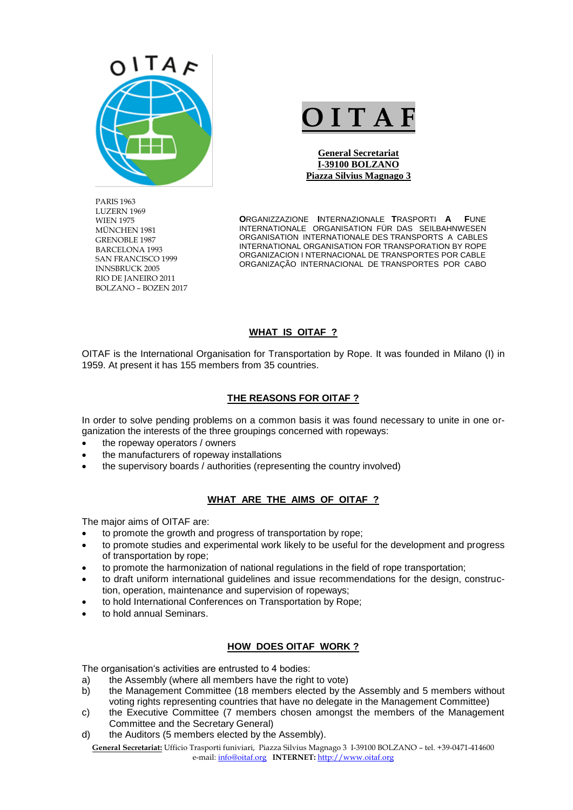

PARIS 1963 LUZERN 1969 WIEN 1975 MÜNCHEN 1981 GRENOBLE 1987 BARCELONA 1993 SAN FRANCISCO 1999 INNSBRUCK 2005 RIO DE JANEIRO 2011 BOLZANO – BOZEN 2017

# **O I T A F**

**General Secretariat I-39100 BOLZANO Piazza Silvius Magnago 3**

**O**RGANIZZAZIONE **I**NTERNAZIONALE **T**RASPORTI **A F**UNE INTERNATIONALE ORGANISATION FÜR DAS SEILBAHNWESEN ORGANISATION INTERNATIONALE DES TRANSPORTS A CABLES INTERNATIONAL ORGANISATION FOR TRANSPORATION BY ROPE ORGANIZACION I NTERNACIONAL DE TRANSPORTES POR CABLE ORGANIZAÇÃO INTERNACIONAL DE TRANSPORTES POR CABO

#### **WHAT IS OITAF ?**

OITAF is the International Organisation for Transportation by Rope. It was founded in Milano (I) in 1959. At present it has 155 members from 35 countries.

#### **THE REASONS FOR OITAF ?**

In order to solve pending problems on a common basis it was found necessary to unite in one organization the interests of the three groupings concerned with ropeways:

- the ropeway operators / owners
- the manufacturers of ropeway installations
- the supervisory boards / authorities (representing the country involved)

#### **WHAT ARE THE AIMS OF OITAF ?**

The major aims of OITAF are:

- to promote the growth and progress of transportation by rope;
- to promote studies and experimental work likely to be useful for the development and progress of transportation by rope;
- to promote the harmonization of national regulations in the field of rope transportation;
- to draft uniform international guidelines and issue recommendations for the design, construction, operation, maintenance and supervision of ropeways;
- to hold International Conferences on Transportation by Rope;
- to hold annual Seminars.

#### **HOW DOES OITAF WORK ?**

The organisation's activities are entrusted to 4 bodies:

- a) the Assembly (where all members have the right to vote)
- b) the Management Committee (18 members elected by the Assembly and 5 members without voting rights representing countries that have no delegate in the Management Committee)
- c) the Executive Committee (7 members chosen amongst the members of the Management Committee and the Secretary General)
- d) the Auditors (5 members elected by the Assembly).

**General Secretariat:** Ufficio Trasporti funiviari, Piazza Silvius Magnago 3 I-39100 BOLZANO – tel. +39-0471-414600 e-mail[: info@oitaf.org](mailto:info@oitaf.org) **INTERNET:** [http://www.oitaf.org](http://www.oitaf.org/)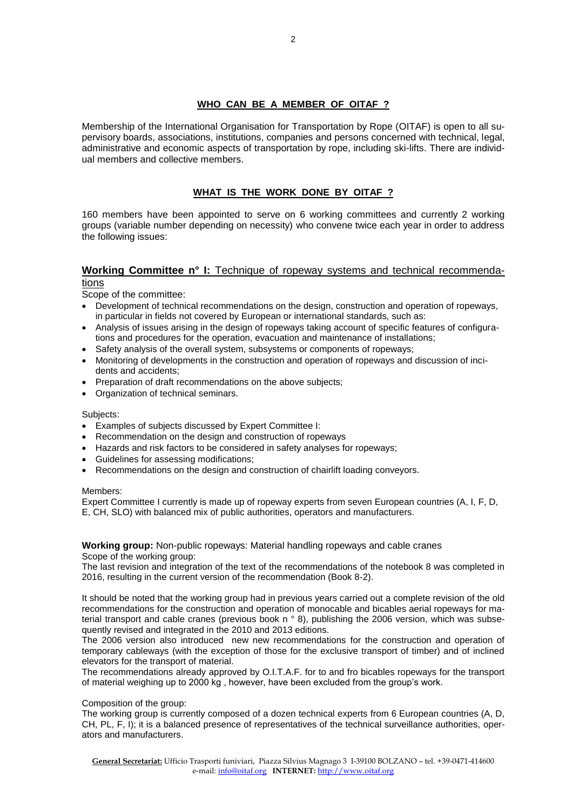# **WHO CAN BE A MEMBER OF OITAF ?**

Membership of the International Organisation for Transportation by Rope (OITAF) is open to all supervisory boards, associations, institutions, companies and persons concerned with technical, legal, administrative and economic aspects of transportation by rope, including ski-lifts. There are individual members and collective members.

# **WHAT IS THE WORK DONE BY OITAF ?**

160 members have been appointed to serve on 6 working committees and currently 2 working groups (variable number depending on necessity) who convene twice each year in order to address the following issues:

#### **Working Committee n° I:** Technique of ropeway systems and technical recommendations

Scope of the committee:

- Development of technical recommendations on the design, construction and operation of ropeways, in particular in fields not covered by European or international standards, such as:
- Analysis of issues arising in the design of ropeways taking account of specific features of configurations and procedures for the operation, evacuation and maintenance of installations;
- Safety analysis of the overall system, subsystems or components of ropeways;
- Monitoring of developments in the construction and operation of ropeways and discussion of incidents and accidents;
- Preparation of draft recommendations on the above subjects;
- Organization of technical seminars.

#### Subjects:

- Examples of subjects discussed by Expert Committee I:
- Recommendation on the design and construction of ropeways
- Hazards and risk factors to be considered in safety analyses for ropeways;
- Guidelines for assessing modifications;
- Recommendations on the design and construction of chairlift loading conveyors.

#### Members:

Expert Committee I currently is made up of ropeway experts from seven European countries (A, I, F, D, E, CH, SLO) with balanced mix of public authorities, operators and manufacturers.

**Working group:** Non-public ropeways: Material handling ropeways and cable cranes Scope of the working group:

The last revision and integration of the text of the recommendations of the notebook 8 was completed in 2016, resulting in the current version of the recommendation (Book 8-2).

It should be noted that the working group had in previous years carried out a complete revision of the old recommendations for the construction and operation of monocable and bicables aerial ropeways for material transport and cable cranes (previous book n ° 8), publishing the 2006 version, which was subsequently revised and integrated in the 2010 and 2013 editions.

The 2006 version also introduced new new recommendations for the construction and operation of temporary cableways (with the exception of those for the exclusive transport of timber) and of inclined elevators for the transport of material.

The recommendations already approved by O.I.T.A.F. for to and fro bicables ropeways for the transport of material weighing up to 2000 kg , however, have been excluded from the group's work.

Composition of the group:

The working group is currently composed of a dozen technical experts from 6 European countries (A, D, CH, PL, F, I); it is a balanced presence of representatives of the technical surveillance authorities, operators and manufacturers.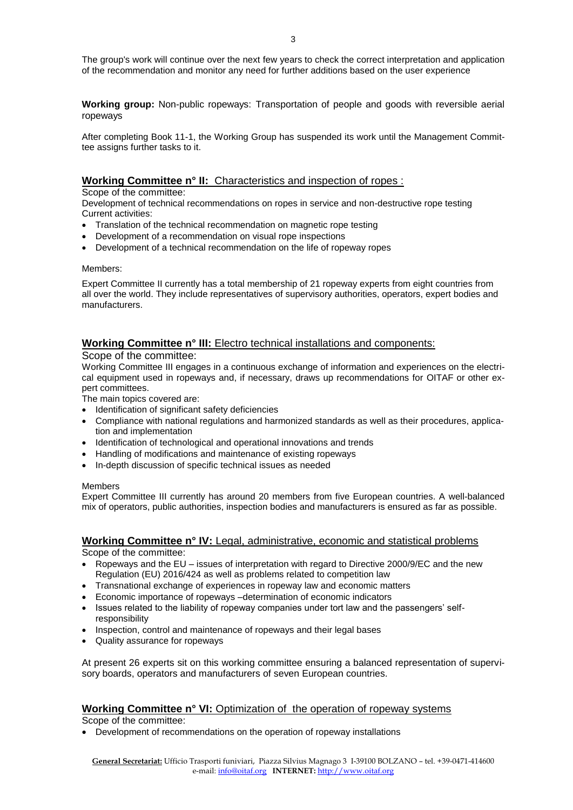**Working group:** Non-public ropeways: Transportation of people and goods with reversible aerial ropeways

After completing Book 11-1, the Working Group has suspended its work until the Management Committee assigns further tasks to it.

# **Working Committee n° II:** Characteristics and inspection of ropes :

#### Scope of the committee:

Development of technical recommendations on ropes in service and non-destructive rope testing Current activities:

- Translation of the technical recommendation on magnetic rope testing
- Development of a recommendation on visual rope inspections
- Development of a technical recommendation on the life of ropeway ropes

#### Members:

Expert Committee II currently has a total membership of 21 ropeway experts from eight countries from all over the world. They include representatives of supervisory authorities, operators, expert bodies and manufacturers.

# **Working Committee n° III:** Electro technical installations and components:

#### Scope of the committee:

Working Committee III engages in a continuous exchange of information and experiences on the electrical equipment used in ropeways and, if necessary, draws up recommendations for OITAF or other expert committees.

The main topics covered are:

- Identification of significant safety deficiencies
- Compliance with national regulations and harmonized standards as well as their procedures, application and implementation
- Identification of technological and operational innovations and trends
- Handling of modifications and maintenance of existing ropeways
- In-depth discussion of specific technical issues as needed

#### Members

Expert Committee III currently has around 20 members from five European countries. A well-balanced mix of operators, public authorities, inspection bodies and manufacturers is ensured as far as possible.

#### **Working Committee n° IV:** Legal, administrative, economic and statistical problems Scope of the committee:

- Ropeways and the EU issues of interpretation with regard to Directive 2000/9/EC and the new Regulation (EU) 2016/424 as well as problems related to competition law
- Transnational exchange of experiences in ropeway law and economic matters
- Economic importance of ropeways –determination of economic indicators
- Issues related to the liability of ropeway companies under tort law and the passengers' selfresponsibility
- Inspection, control and maintenance of ropeways and their legal bases
- Quality assurance for ropeways

At present 26 experts sit on this working committee ensuring a balanced representation of supervisory boards, operators and manufacturers of seven European countries.

# **Working Committee n° VI:** Optimization of the operation of ropeway systems

Scope of the committee:

Development of recommendations on the operation of ropeway installations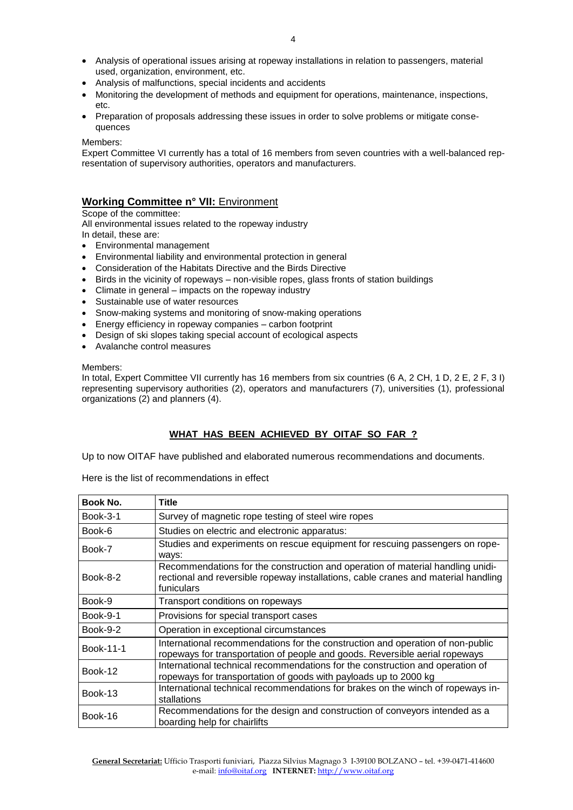- Analysis of operational issues arising at ropeway installations in relation to passengers, material used, organization, environment, etc.
- Analysis of malfunctions, special incidents and accidents
- Monitoring the development of methods and equipment for operations, maintenance, inspections, etc.
- Preparation of proposals addressing these issues in order to solve problems or mitigate consequences

#### Members:

Expert Committee VI currently has a total of 16 members from seven countries with a well-balanced representation of supervisory authorities, operators and manufacturers.

# **Working Committee n° VII:** Environment

Scope of the committee:

All environmental issues related to the ropeway industry

In detail, these are:

- Environmental management
- Environmental liability and environmental protection in general
- Consideration of the Habitats Directive and the Birds Directive
- $\bullet$  Birds in the vicinity of ropeways non-visible ropes, glass fronts of station buildings
- Climate in general impacts on the ropeway industry
- Sustainable use of water resources
- Snow-making systems and monitoring of snow-making operations
- Energy efficiency in ropeway companies carbon footprint
- Design of ski slopes taking special account of ecological aspects
- Avalanche control measures

#### Members:

In total, Expert Committee VII currently has 16 members from six countries (6 A, 2 CH, 1 D, 2 E, 2 F, 3 I) representing supervisory authorities (2), operators and manufacturers (7), universities (1), professional organizations (2) and planners (4).

# **WHAT HAS BEEN ACHIEVED BY OITAF SO FAR ?**

Up to now OITAF have published and elaborated numerous recommendations and documents.

Here is the list of recommendations in effect

| Book No.        | Title                                                                                                                                                                              |
|-----------------|------------------------------------------------------------------------------------------------------------------------------------------------------------------------------------|
| <b>Book-3-1</b> | Survey of magnetic rope testing of steel wire ropes                                                                                                                                |
| Book-6          | Studies on electric and electronic apparatus:                                                                                                                                      |
| Book-7          | Studies and experiments on rescue equipment for rescuing passengers on rope-<br>ways:                                                                                              |
| <b>Book-8-2</b> | Recommendations for the construction and operation of material handling unidi-<br>rectional and reversible ropeway installations, cable cranes and material handling<br>funiculars |
| Book-9          | Transport conditions on ropeways                                                                                                                                                   |
| <b>Book-9-1</b> | Provisions for special transport cases                                                                                                                                             |
| <b>Book-9-2</b> | Operation in exceptional circumstances                                                                                                                                             |
| Book-11-1       | International recommendations for the construction and operation of non-public<br>ropeways for transportation of people and goods. Reversible aerial ropeways                      |
| Book-12         | International technical recommendations for the construction and operation of<br>ropeways for transportation of goods with payloads up to 2000 kg                                  |
| Book-13         | International technical recommendations for brakes on the winch of ropeways in-<br>stallations                                                                                     |
| Book-16         | Recommendations for the design and construction of conveyors intended as a<br>boarding help for chairlifts                                                                         |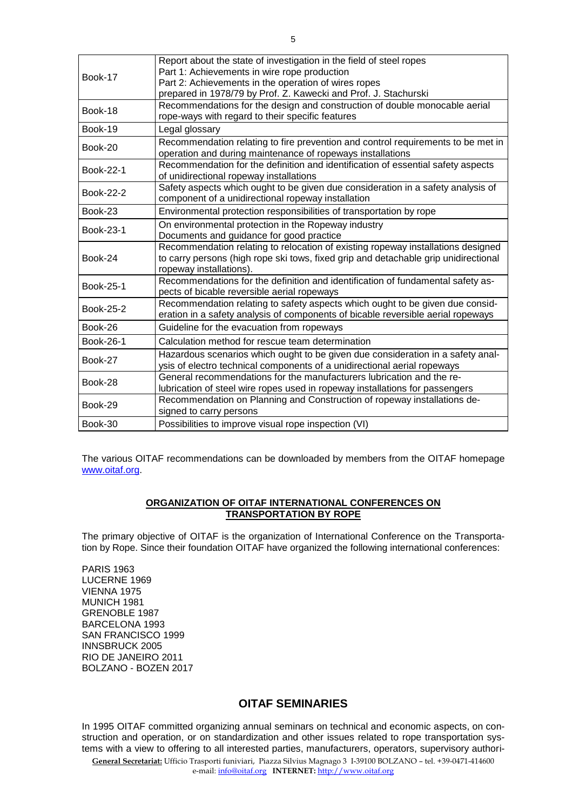| Book-17   | Report about the state of investigation in the field of steel ropes<br>Part 1: Achievements in wire rope production<br>Part 2: Achievements in the operation of wires ropes                        |
|-----------|----------------------------------------------------------------------------------------------------------------------------------------------------------------------------------------------------|
|           | prepared in 1978/79 by Prof. Z. Kawecki and Prof. J. Stachurski                                                                                                                                    |
| Book-18   | Recommendations for the design and construction of double monocable aerial<br>rope-ways with regard to their specific features                                                                     |
| Book-19   | Legal glossary                                                                                                                                                                                     |
| $Book-20$ | Recommendation relating to fire prevention and control requirements to be met in<br>operation and during maintenance of ropeways installations                                                     |
| Book-22-1 | Recommendation for the definition and identification of essential safety aspects<br>of unidirectional ropeway installations                                                                        |
| Book-22-2 | Safety aspects which ought to be given due consideration in a safety analysis of<br>component of a unidirectional ropeway installation                                                             |
| Book-23   | Environmental protection responsibilities of transportation by rope                                                                                                                                |
| Book-23-1 | On environmental protection in the Ropeway industry<br>Documents and guidance for good practice                                                                                                    |
| Book-24   | Recommendation relating to relocation of existing ropeway installations designed<br>to carry persons (high rope ski tows, fixed grip and detachable grip unidirectional<br>ropeway installations). |
| Book-25-1 | Recommendations for the definition and identification of fundamental safety as-<br>pects of bicable reversible aerial ropeways                                                                     |
| Book-25-2 | Recommendation relating to safety aspects which ought to be given due consid-<br>eration in a safety analysis of components of bicable reversible aerial ropeways                                  |
| Book-26   | Guideline for the evacuation from ropeways                                                                                                                                                         |
| Book-26-1 | Calculation method for rescue team determination                                                                                                                                                   |
| Book-27   | Hazardous scenarios which ought to be given due consideration in a safety anal-<br>ysis of electro technical components of a unidirectional aerial ropeways                                        |
| Book-28   | General recommendations for the manufacturers lubrication and the re-<br>lubrication of steel wire ropes used in ropeway installations for passengers                                              |
| Book-29   | Recommendation on Planning and Construction of ropeway installations de-<br>signed to carry persons                                                                                                |
| Book-30   | Possibilities to improve visual rope inspection (VI)                                                                                                                                               |
|           |                                                                                                                                                                                                    |

The various OITAF recommendations can be downloaded by members from the OITAF homepage [www.oitaf.org.](http://www.oitaf.org/)

#### **ORGANIZATION OF OITAF INTERNATIONAL CONFERENCES ON TRANSPORTATION BY ROPE**

The primary objective of OITAF is the organization of International Conference on the Transportation by Rope. Since their foundation OITAF have organized the following international conferences:

PARIS 1963 LUCERNE 1969 VIENNA 1975 MUNICH 1981 GRENOBLE 1987 BARCELONA 1993 SAN FRANCISCO 1999 INNSBRUCK 2005 RIO DE JANEIRO 2011 BOLZANO - BOZEN 2017

# **OITAF SEMINARIES**

**General Secretariat:** Ufficio Trasporti funiviari, Piazza Silvius Magnago 3 I-39100 BOLZANO – tel. +39-0471-414600 In 1995 OITAF committed organizing annual seminars on technical and economic aspects, on construction and operation, or on standardization and other issues related to rope transportation systems with a view to offering to all interested parties, manufacturers, operators, supervisory authori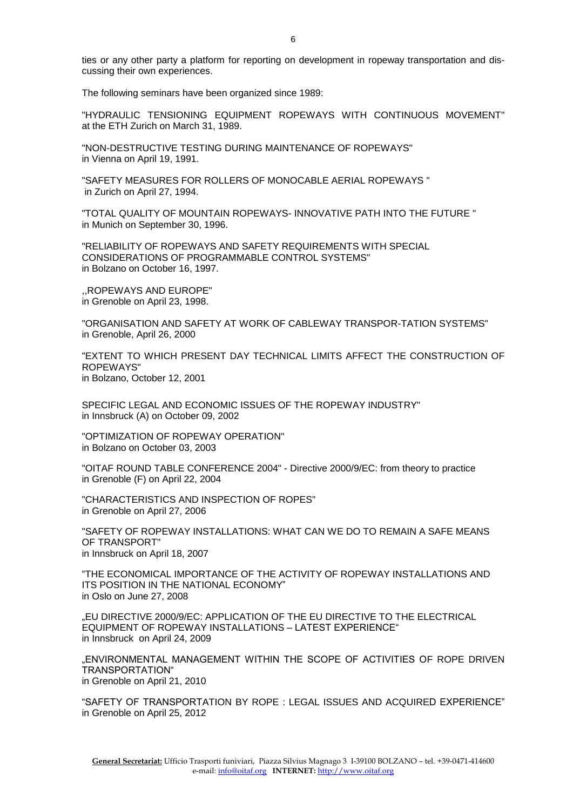ties or any other party a platform for reporting on development in ropeway transportation and discussing their own experiences.

The following seminars have been organized since 1989:

"HYDRAULIC TENSIONING EQUIPMENT ROPEWAYS WITH CONTINUOUS MOVEMENT" at the ETH Zurich on March 31, 1989.

"NON-DESTRUCTIVE TESTING DURING MAINTENANCE OF ROPEWAYS" in Vienna on April 19, 1991.

"SAFETY MEASURES FOR ROLLERS OF MONOCABLE AERIAL ROPEWAYS " in Zurich on April 27, 1994.

"TOTAL QUALITY OF MOUNTAIN ROPEWAYS- INNOVATIVE PATH INTO THE FUTURE " in Munich on September 30, 1996.

"RELIABILITY OF ROPEWAYS AND SAFETY REQUIREMENTS WITH SPECIAL CONSIDERATIONS OF PROGRAMMABLE CONTROL SYSTEMS" in Bolzano on October 16, 1997.

,,ROPEWAYS AND EUROPE" in Grenoble on April 23, 1998.

"ORGANISATION AND SAFETY AT WORK OF CABLEWAY TRANSPOR-TATION SYSTEMS" in Grenoble, April 26, 2000

"EXTENT TO WHICH PRESENT DAY TECHNICAL LIMITS AFFECT THE CONSTRUCTION OF ROPEWAYS" in Bolzano, October 12, 2001

SPECIFIC LEGAL AND ECONOMIC ISSUES OF THE ROPEWAY INDUSTRY" in Innsbruck (A) on October 09, 2002

"OPTIMIZATION OF ROPEWAY OPERATION" in Bolzano on October 03, 2003

"OITAF ROUND TABLE CONFERENCE 2004" - Directive 2000/9/EC: from theory to practice in Grenoble (F) on April 22, 2004

"CHARACTERISTICS AND INSPECTION OF ROPES" in Grenoble on April 27, 2006

"SAFETY OF ROPEWAY INSTALLATIONS: WHAT CAN WE DO TO REMAIN A SAFE MEANS OF TRANSPORT" in Innsbruck on April 18, 2007

"THE ECONOMICAL IMPORTANCE OF THE ACTIVITY OF ROPEWAY INSTALLATIONS AND ITS POSITION IN THE NATIONAL ECONOMY" in Oslo on June 27, 2008

"EU DIRECTIVE 2000/9/EC: APPLICATION OF THE EU DIRECTIVE TO THE ELECTRICAL EQUIPMENT OF ROPEWAY INSTALLATIONS – LATEST EXPERIENCE" in Innsbruck on April 24, 2009

"ENVIRONMENTAL MANAGEMENT WITHIN THE SCOPE OF ACTIVITIES OF ROPE DRIVEN TRANSPORTATION" in Grenoble on April 21, 2010

"SAFETY OF TRANSPORTATION BY ROPE : LEGAL ISSUES AND ACQUIRED EXPERIENCE" in Grenoble on April 25, 2012